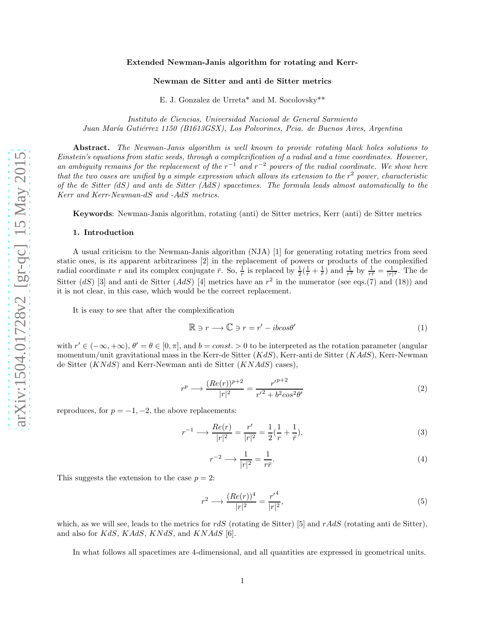#### Extended Newman-Janis algorithm for rotating and Kerr-

#### Newman de Sitter and anti de Sitter metrics

E. J. Gonzalez de Urreta\* and M. Socolovsky\*\*

Instituto de Ciencias, Universidad Nacional de General Sarmiento Juan María Gutiérrez 1150 (B1613GSX), Los Polvorines, Pcia. de Buenos Aires, Argentina

Abstract. The Newman-Janis algorithm is well known to provide rotating black holes solutions to Einstein's equations from static seeds, through a complexification of a radial and a time coordinates. However, an ambiguity remains for the replacement of the  $r^{-1}$  and  $r^{-2}$  powers of the radial coordinate. We show here that the two cases are unified by a simple expression which allows its extension to the  $r^2$  power, characteristic of the de Sitter  $(dS)$  and anti de Sitter  $(AdS)$  spacetimes. The formula leads almost automatically to the Kerr and Kerr-Newman-dS and -AdS metrics.

Keywords: Newman-Janis algorithm, rotating (anti) de Sitter metrics, Kerr (anti) de Sitter metrics

#### 1. Introduction

A usual criticism to the Newman-Janis algorithm (NJA) [1] for generating rotating metrics from seed static ones, is its apparent arbitrariness [2] in the replacement of powers or products of the complexified radial coordinate r and its complex conjugate  $\bar{r}$ . So,  $\frac{1}{r}$  is replaced by  $\frac{1}{2}(\frac{1}{r}+\frac{1}{r})$  and  $\frac{1}{r^2}$  by  $\frac{1}{r\bar{r}}=\frac{1}{|r|^2}$ . The de Sitter  $(dS)$  [3] and anti de Sitter  $(AdS)$  [4] metrics have an  $r^2$  in the numerator (see eqs.(7) and (18)) and it is not clear, in this case, which would be the correct replacement.

It is easy to see that after the complexification

$$
\mathbb{R} \ni r \longrightarrow \mathbb{C} \ni r = r' - ibcos\theta'
$$
 (1)

with  $r' \in (-\infty, +\infty)$ ,  $\theta' = \theta \in [0, \pi]$ , and  $b = const. > 0$  to be interpreted as the rotation parameter (angular momentum/unit gravitational mass in the Kerr-de Sitter  $(KdS)$ , Kerr-anti de Sitter  $(KAdS)$ , Kerr-Newman de Sitter  $(KNdS)$  and Kerr-Newman anti de Sitter  $(KNAdS)$  cases),

$$
r^{p} \longrightarrow \frac{(Re(r))^{p+2}}{|r|^{2}} = \frac{r'^{p+2}}{r'^{2} + b^{2} \cos^{2} \theta'} \tag{2}
$$

reproduces, for  $p = -1, -2$ , the above replacements:

$$
r^{-1} \longrightarrow \frac{Re(r)}{|r|^2} = \frac{r'}{|r|^2} = \frac{1}{2}(\frac{1}{r} + \frac{1}{r}),\tag{3}
$$

$$
r^{-2} \longrightarrow \frac{1}{|r|^2} = \frac{1}{r\bar{r}}.\tag{4}
$$

This suggests the extension to the case  $p = 2$ :

$$
r^2 \longrightarrow \frac{(Re(r))^4}{|r|^2} = \frac{r'^4}{|r|^2},\tag{5}
$$

which, as we will see, leads to the metrics for rdS (rotating de Sitter) [5] and rAdS (rotating anti de Sitter), and also for  $KdS$ ,  $KAdS$ ,  $KNdS$ , and  $KNAdS$  [6].

In what follows all spacetimes are 4-dimensional, and all quantities are expressed in geometrical units.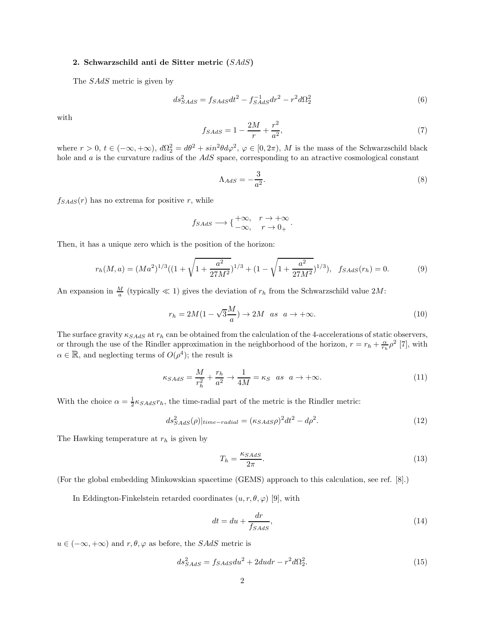## 2. Schwarzschild anti de Sitter metric  $(SAdS)$

The *SAdS* metric is given by

$$
ds_{SAdS}^2 = f_{SAdS}dt^2 - f_{SAdS}^{-1}dr^2 - r^2d\Omega_2^2
$$
\n(6)

with

$$
f_{SAdS} = 1 - \frac{2M}{r} + \frac{r^2}{a^2},\tag{7}
$$

where  $r > 0$ ,  $t \in (-\infty, +\infty)$ ,  $d\Omega_2^2 = d\theta^2 + \sin^2\theta d\varphi^2$ ,  $\varphi \in [0, 2\pi)$ , M is the mass of the Schwarzschild black hole and  $a$  is the curvature radius of the  $AdS$  space, corresponding to an atractive cosmological constant

$$
\Lambda_{AdS} = -\frac{3}{a^2}.\tag{8}
$$

 $f_{SAdS}(r)$  has no extrema for positive r, while

$$
f_{SAdS} \longrightarrow \begin{cases} +\infty, & r \to +\infty \\ -\infty, & r \to 0_+ \end{cases}
$$
.

Then, it has a unique zero which is the position of the horizon:

$$
r_h(M, a) = (Ma^2)^{1/3}((1 + \sqrt{1 + \frac{a^2}{27M^2}})^{1/3} + (1 - \sqrt{1 + \frac{a^2}{27M^2}})^{1/3}), \quad f_{SAdS}(r_h) = 0.
$$
 (9)

An expansion in  $\frac{M}{a}$  (typically  $\ll 1$ ) gives the deviation of  $r_h$  from the Schwarzschild value  $2M$ :

$$
r_h = 2M(1 - \sqrt{3}\frac{M}{a}) \to 2M \quad as \quad a \to +\infty. \tag{10}
$$

The surface gravity  $\kappa_{SAdS}$  at  $r_h$  can be obtained from the calculation of the 4-accelerations of static observers, or through the use of the Rindler approximation in the neighborhood of the horizon,  $r = r_h + \frac{\alpha}{r_h} \rho^2$  [7], with  $\alpha \in \mathbb{R}$ , and neglecting terms of  $O(\rho^4)$ ; the result is

$$
\kappa_{SAdS} = \frac{M}{r_h^2} + \frac{r_h}{a^2} \to \frac{1}{4M} = \kappa_S \quad as \quad a \to +\infty. \tag{11}
$$

With the choice  $\alpha = \frac{1}{2} \kappa_{SAdS} r_h$ , the time-radial part of the metric is the Rindler metric:

$$
ds_{SAdS}^2(\rho)|_{time-radius} = (\kappa_{SAdS}\rho)^2 dt^2 - d\rho^2. \tag{12}
$$

The Hawking temperature at  $r_h$  is given by

$$
T_h = \frac{\kappa_{SAdS}}{2\pi}.\tag{13}
$$

(For the global embedding Minkowskian spacetime (GEMS) approach to this calculation, see ref. [8].)

In Eddington-Finkelstein retarded coordinates  $(u, r, \theta, \varphi)$  [9], with

$$
dt = du + \frac{dr}{f_{SAdS}},\tag{14}
$$

 $u \in (-\infty, +\infty)$  and  $r, \theta, \varphi$  as before, the *SAdS* metric is

$$
ds_{SAdS}^2 = f_{SAdS}du^2 + 2dudr - r^2d\Omega_2^2.
$$
\n
$$
(15)
$$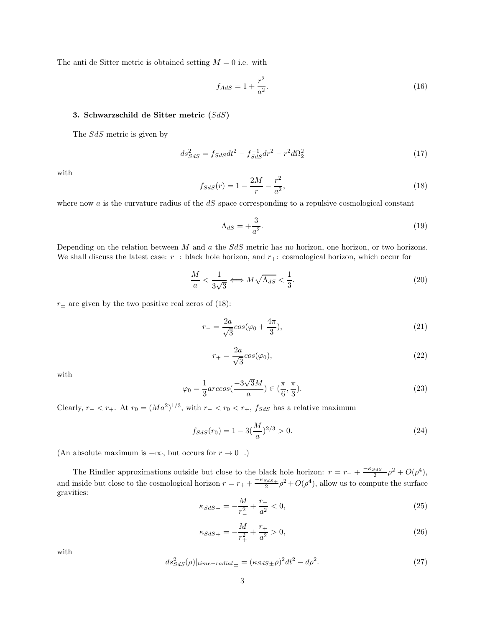The anti de Sitter metric is obtained setting  $M = 0$  i.e. with

$$
f_{AdS} = 1 + \frac{r^2}{a^2}.
$$
\n(16)

## 3. Schwarzschild de Sitter metric  $(SdS)$

The  $SdS$  metric is given by

$$
ds_{SdS}^2 = f_{SdS}dt^2 - f_{SdS}^{-1}dr^2 - r^2d\Omega_2^2
$$
\n(17)

with

$$
f_{SdS}(r) = 1 - \frac{2M}{r} - \frac{r^2}{a^2},\tag{18}
$$

where now  $a$  is the curvature radius of the  $dS$  space corresponding to a repulsive cosmological constant

$$
\Lambda_{dS} = +\frac{3}{a^2}.\tag{19}
$$

Depending on the relation between  $M$  and  $a$  the  $SdS$  metric has no horizon, one horizon, or two horizons. We shall discuss the latest case:  $r_-\colon$  black hole horizon, and  $r_+\colon$  cosmological horizon, which occur for

$$
\frac{M}{a} < \frac{1}{3\sqrt{3}} \Longleftrightarrow M\sqrt{\Lambda_{dS}} < \frac{1}{3}.\tag{20}
$$

 $r_{\pm}$  are given by the two positive real zeros of (18):

$$
r_{-} = \frac{2a}{\sqrt{3}} \cos(\varphi_0 + \frac{4\pi}{3}),
$$
\n(21)

$$
r_{+} = \frac{2a}{\sqrt{3}} \cos(\varphi_0),\tag{22}
$$

with

$$
\varphi_0 = \frac{1}{3} \arccos\left(\frac{-3\sqrt{3}M}{a}\right) \in \left(\frac{\pi}{6}, \frac{\pi}{3}\right). \tag{23}
$$

Clearly,  $r_{-} < r_{+}$ . At  $r_{0} = (Ma^{2})^{1/3}$ , with  $r_{-} < r_{0} < r_{+}$ ,  $f_{SdS}$  has a relative maximum

$$
f_{SdS}(r_0) = 1 - 3\left(\frac{M}{a}\right)^{2/3} > 0. \tag{24}
$$

(An absolute maximum is  $+\infty$ , but occurs for  $r \to 0_-\$ .)

The Rindler approximations outside but close to the black hole horizon:  $r = r_- + \frac{-\kappa_{SdS-}}{2}$  $\frac{s_{dS-}}{2} \rho^2 + O(\rho^4),$ and inside but close to the cosmological horizon  $r = r_+ + \frac{-\kappa_{SdS+}}{2} \rho^2 + O(\rho^4)$ , allow us to compute the surface gravities:

$$
\kappa_{SdS-} = -\frac{M}{r_{-}^{2}} + \frac{r_{-}}{a^{2}} < 0,\tag{25}
$$

$$
\kappa_{SdS+} = -\frac{M}{r_+^2} + \frac{r_+}{a^2} > 0,\tag{26}
$$

with

$$
ds_{SdS}^2(\rho)|_{time-radius} = (\kappa_{SdS\pm}\rho)^2 dt^2 - d\rho^2. \tag{27}
$$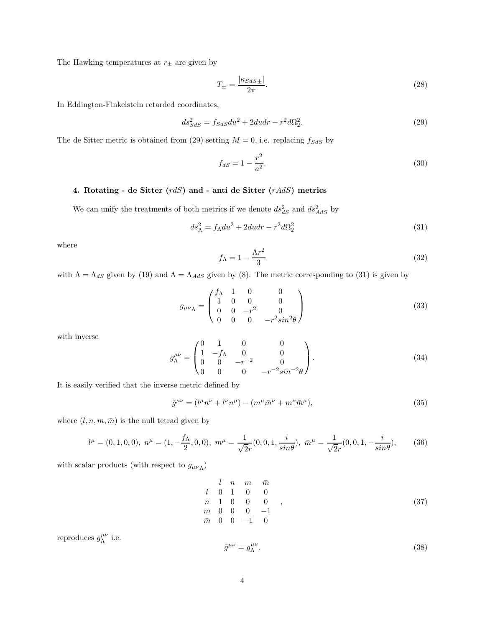The Hawking temperatures at  $r_{\pm}$  are given by

$$
T_{\pm} = \frac{|\kappa_{SdS\pm}|}{2\pi}.
$$
\n(28)

In Eddington-Finkelstein retarded coordinates,

$$
ds_{SdS}^2 = f_{SdS}du^2 + 2dudr - r^2d\Omega_2^2.
$$
\n
$$
(29)
$$

The de Sitter metric is obtained from (29) setting  $M = 0$ , i.e. replacing  $f_{SdS}$  by

$$
f_{dS} = 1 - \frac{r^2}{a^2}.
$$
\n(30)

## 4. Rotating - de Sitter  $(r dS)$  and - anti de Sitter  $(rAdS)$  metrics

We can unify the treatments of both metrics if we denote  $ds_{dS}^2$  and  $ds_{AdS}^2$  by

$$
ds_{\Lambda}^2 = f_{\Lambda} du^2 + 2du dr - r^2 d\Omega_2^2 \tag{31}
$$

where

$$
f_{\Lambda} = 1 - \frac{\Lambda r^2}{3} \tag{32}
$$

with  $\Lambda = \Lambda_{dS}$  given by (19) and  $\Lambda = \Lambda_{AdS}$  given by (8). The metric corresponding to (31) is given by

$$
g_{\mu\nu\Lambda} = \begin{pmatrix} f_{\Lambda} & 1 & 0 & 0 \\ 1 & 0 & 0 & 0 \\ 0 & 0 & -r^2 & 0 \\ 0 & 0 & 0 & -r^2 \sin^2\theta \end{pmatrix}
$$
 (33)

with inverse

$$
g_{\Lambda}^{\mu\nu} = \begin{pmatrix} 0 & 1 & 0 & 0 \\ 1 & -f_{\Lambda} & 0 & 0 \\ 0 & 0 & -r^{-2} & 0 \\ 0 & 0 & 0 & -r^{-2}sin^{-2}\theta \end{pmatrix}.
$$
 (34)

It is easily verified that the inverse metric defined by

$$
\tilde{g}^{\mu\nu} = (l^{\mu}n^{\nu} + l^{\nu}n^{\mu}) - (m^{\mu}\bar{m}^{\nu} + m^{\nu}\bar{m}^{\mu}),
$$
\n(35)

where  $(l, n, m, \bar{m})$  is the null tetrad given by

$$
l^{\mu} = (0, 1, 0, 0), \; n^{\mu} = (1, -\frac{f_{\Lambda}}{2}, 0, 0), \; m^{\mu} = \frac{1}{\sqrt{2}r}(0, 0, 1, \frac{i}{\sin\theta}), \; \bar{m}^{\mu} = \frac{1}{\sqrt{2}r}(0, 0, 1, -\frac{i}{\sin\theta}), \qquad (36)
$$

with scalar products (with respect to  $g_{\mu\nu\Lambda}$ )

$$
\begin{array}{ccccccccc}\n & l & n & m & \bar{m} \\
l & 0 & 1 & 0 & 0 \\
n & 1 & 0 & 0 & 0 \\
m & 0 & 0 & 0 & -1 \\
\bar{m} & 0 & 0 & -1 & 0\n\end{array}
$$
\n(37)

reproduces  $g^{\mu\nu}_{\Lambda}$  i.e.

$$
\tilde{g}^{\mu\nu} = g^{\mu\nu}_{\Lambda}.\tag{38}
$$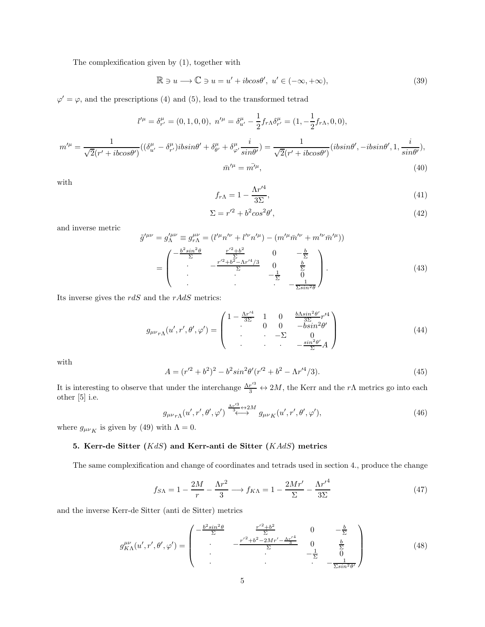The complexification given by (1), together with

$$
\mathbb{R} \ni u \longrightarrow \mathbb{C} \ni u = u' + ibcos\theta', \ u' \in (-\infty, +\infty), \tag{39}
$$

 $\varphi' = \varphi$ , and the prescriptions (4) and (5), lead to the transformed tetrad

$$
l^{\prime \mu} = \delta^{\mu}_{r^{\prime}} = (0, 1, 0, 0), \ n^{\prime \mu} = \delta^{\mu}_{u^{\prime}} - \frac{1}{2} f_{r\Lambda} \delta^{\mu}_{r^{\prime}} = (1, -\frac{1}{2} f_{r\Lambda}, 0, 0),
$$

$$
m^{\prime \mu} = \frac{1}{\sqrt{2} (r^{\prime} + ibcos\theta^{\prime})} ((\delta^{\mu}_{u^{\prime}} - \delta^{\mu}_{r^{\prime}}) ibsin\theta^{\prime} + \delta^{\mu}_{\theta^{\prime}} + \delta^{\mu}_{\varphi^{\prime}} \frac{i}{sin\theta^{\prime}}) = \frac{1}{\sqrt{2} (r^{\prime} + ibcos\theta^{\prime})} (ibsin\theta^{\prime}, -ibsin\theta^{\prime}, 1, \frac{i}{sin\theta^{\prime}}),
$$

$$
\bar{m}^{\prime \mu} = \bar{m^{\prime}}^{\mu}, \tag{40}
$$

with

$$
f_{r\Lambda} = 1 - \frac{\Lambda r^{\prime 4}}{3\Sigma},\tag{41}
$$

$$
\Sigma = r'^2 + b^2 \cos^2 \theta',\tag{42}
$$

and inverse metric

$$
\tilde{g}^{\prime\mu\nu} = g_{\Lambda}^{\prime\mu\nu} \equiv g_{r\Lambda}^{\mu\nu} = (l^{\prime\mu}n^{\prime\nu} + l^{\prime\nu}n^{\prime\mu}) - (m^{\prime\mu}\bar{m}^{\prime\nu} + m^{\prime\nu}\bar{m}^{\prime\mu}))
$$
\n
$$
= \begin{pmatrix}\n-\frac{b^2\sin^2\theta}{\Sigma} & \frac{r^{\prime 2} + b^2}{\Sigma} & 0 & -\frac{b}{\Sigma} \\
& -\frac{r^{\prime 2} + b^2 - \Lambda r^{\prime 4}/3}{\Sigma} & 0 & \frac{b}{\Sigma} \\
& \cdot & -\frac{1}{\Sigma} & 0 \\
& & \cdot & -\frac{1}{\Sigma\sin^2\theta}\n\end{pmatrix}.
$$
\n(43)

Its inverse gives the  $r dS$  and the  $rAdS$  metrics:

$$
g_{\mu\nu r\Lambda}(u',r',\theta',\varphi') = \begin{pmatrix} 1 - \frac{\Lambda r'^4}{3\Sigma} & 1 & 0 & \frac{b\Lambda sin^2\theta' r'^4}{3\Sigma} r'^4\\ 0 & 0 & -b sin^2\theta'\\ . & . & -\Sigma & 0\\ . & . & -\Sigma & 0\\ . & . & . & -\frac{sin^2\theta'}{\Sigma}A \end{pmatrix}
$$
(44)

with

$$
A = (r'^2 + b^2)^2 - b^2 \sin^2 \theta' (r'^2 + b^2 - \Lambda r'^4 / 3). \tag{45}
$$

It is interesting to observe that under the interchange  $\frac{\Lambda r'^3}{3} \leftrightarrow 2M$ , the Kerr and the r $\Lambda$  metrics go into each other [5] i.e.

$$
g_{\mu\nu_{r\Lambda}}(u',r',\theta',\varphi') \stackrel{\frac{\Lambda r'^3}{3}}{\longleftrightarrow} g_{\mu\nu_{K}}(u',r',\theta',\varphi'),\tag{46}
$$

where  $g_{\mu\nu}$  is given by (49) with  $\Lambda = 0$ .

## 5. Kerr-de Sitter  $(KdS)$  and Kerr-anti de Sitter  $(KAdS)$  metrics

The same complexification and change of coordinates and tetrads used in section 4., produce the change

$$
f_{S\Lambda} = 1 - \frac{2M}{r} - \frac{\Lambda r^2}{3} \longrightarrow f_{K\Lambda} = 1 - \frac{2Mr'}{\Sigma} - \frac{\Lambda r'^4}{3\Sigma}
$$
 (47)

and the inverse Kerr-de Sitter (anti de Sitter) metrics

$$
g_{K\Lambda}^{\mu\nu}(u',r',\theta',\varphi') = \begin{pmatrix} -\frac{b^2 \sin^2 \theta}{\Sigma} & \frac{r'^2 + b^2}{\Sigma} & 0 & -\frac{b}{\Sigma} \\ \cdot & -\frac{r'^2 + b^2 - 2Mr' - \frac{\Lambda r'^4}{3}}{\Sigma} & 0 & \frac{b}{\Sigma} \\ \cdot & \cdot & \cdot & -\frac{1}{\Sigma} & 0 \\ \cdot & \cdot & \cdot & -\frac{1}{\Sigma} & 0 \\ \cdot & \cdot & \cdot & -\frac{1}{\Sigma \sin^2 \theta'} \end{pmatrix}
$$
(48)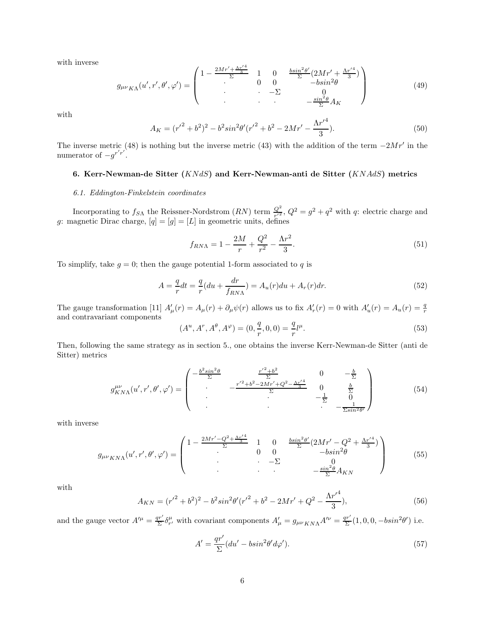with inverse

$$
g_{\mu\nu_{K\Lambda}}(u',r',\theta',\varphi') = \begin{pmatrix} 1 - \frac{2Mr' + \frac{\Lambda r'^4}{3}}{\Sigma} & 1 & 0 & \frac{bsin^2\theta'}{\Sigma}(2Mr' + \frac{\Lambda r'^4}{3}) \\ . & 0 & 0 & -bsin^2\theta \\ . & . & -\Sigma & 0 \\ . & . & . & -\frac{sin^2\theta}{\Sigma}A_K \end{pmatrix}
$$
(49)

with

$$
A_K = (r'^2 + b^2)^2 - b^2 \sin^2 \theta' (r'^2 + b^2 - 2Mr' - \frac{\Lambda r'^4}{3}).
$$
\n(50)

The inverse metric (48) is nothing but the inverse metric (43) with the addition of the term  $-2Mr'$  in the numerator of  $-g^{r'r'}$ .

# 6. Kerr-Newman-de Sitter  $(KNdS)$  and Kerr-Newman-anti de Sitter  $(KNAdS)$  metrics

## 6.1. Eddington-Finkelstein coordinates

Incorporating to  $f_{SA}$  the Reissner-Nordstrom  $(RN)$  term  $\frac{Q^2}{r'^2}$ ,  $Q^2 = g^2 + q^2$  with q: electric charge and g: magnetic Dirac charge,  $[q] = [g] = [L]$  in geometric units, defines

$$
f_{R N \Lambda} = 1 - \frac{2M}{r} + \frac{Q^2}{r^2} - \frac{\Lambda r^2}{3}.
$$
\n(51)

To simplify, take  $g = 0$ ; then the gauge potential 1-form associated to q is

$$
A = \frac{q}{r}dt = \frac{q}{r}(du + \frac{dr}{f_{RNN}}) = A_u(r)du + A_r(r)dr.
$$
\n(52)

The gauge transformation [11]  $A'_{\mu}(r) = A_{\mu}(r) + \partial_{\mu}\psi(r)$  allows us to fix  $A'_{r}(r) = 0$  with  $A'_{u}(r) = A_{u}(r) = \frac{q}{r}$ and contravariant components

$$
(A^u, A^r, A^\theta, A^\varphi) = (0, \frac{q}{r}, 0, 0) = \frac{q}{r} l^\mu.
$$
\n(53)

Then, following the same strategy as in section 5., one obtains the inverse Kerr-Newman-de Sitter (anti de Sitter) metrics

$$
g_{KN\Lambda}^{\mu\nu}(u',r',\theta',\varphi') = \begin{pmatrix} -\frac{b^2 \sin^2 \theta}{\Sigma} & \frac{r'^2 + b^2}{\Sigma} & 0 & -\frac{b}{\Sigma} \\ \cdot & -\frac{r'^2 + b^2 - 2Mr' + Q^2 - \frac{\Lambda r'^4}{3}}{\Sigma} & 0 & \frac{b}{\Sigma} \\ \cdot & \cdot & -\frac{1}{\Sigma} & 0 \\ \cdot & \cdot & -\frac{1}{\Sigma} & \frac{1}{\Sigma^{sin^2 \theta'}} \end{pmatrix}
$$
(54)

with inverse

$$
g_{\mu\nu_{KN\Lambda}}(u',r',\theta',\varphi') = \begin{pmatrix} 1 - \frac{2Mr' - Q^2 + \frac{\Lambda r'^4}{3}}{\Sigma} & 1 & 0 & \frac{bsin^2\theta'}{\Sigma}(2Mr' - Q^2 + \frac{\Lambda r'^4}{3}) \\ \cdot & 0 & 0 & -bsin^2\theta \\ \cdot & \cdot & -\Sigma & 0 \\ \cdot & \cdot & \cdot & -\Sigma & -\frac{sn^2\theta}{\Sigma}A_{KN} \end{pmatrix}
$$
(55)

with

$$
A_{KN} = (r'^2 + b^2)^2 - b^2 \sin^2 \theta' (r'^2 + b^2 - 2Mr' + Q^2 - \frac{\Lambda r'^4}{3}),
$$
\n(56)

and the gauge vector  $A'^{\mu} = \frac{qr'}{\Sigma} \delta^{\mu}_{r'}$  with covariant components  $A'_{\mu} = g_{\mu\nu}{}_{KN\Lambda}A'^{\nu} = \frac{qr'}{\Sigma}(1,0,0,-bsin^2\theta')$  i.e.

$$
A' = \frac{qr'}{\Sigma}(du' - b\sin^2\theta'd\varphi').
$$
\n(57)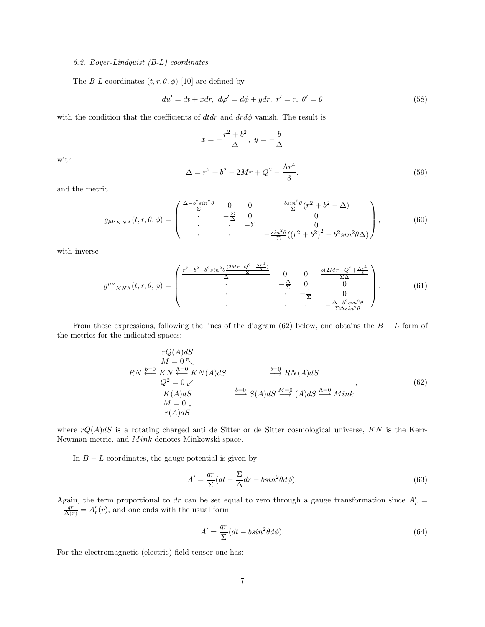### 6.2. Boyer-Lindquist (B-L) coordinates

The B-L coordinates  $(t, r, \theta, \phi)$  [10] are defined by

$$
du' = dt + xdr, \ d\varphi' = d\phi + ydr, \ r' = r, \ \theta' = \theta \tag{58}
$$

with the condition that the coefficients of  $dtdr$  and  $drd\phi$  vanish. The result is

$$
x = -\frac{r^2 + b^2}{\Delta}, \ y = -\frac{b}{\Delta}
$$

with

$$
\Delta = r^2 + b^2 - 2Mr + Q^2 - \frac{\Lambda r^4}{3},\tag{59}
$$

and the metric

$$
g_{\mu\nu K N\Lambda}(t,r,\theta,\phi) = \begin{pmatrix} \frac{\Delta - b^2 \sin^2 \theta}{\Sigma} & 0 & 0 & \frac{b \sin^2 \theta}{\Sigma} (r^2 + b^2 - \Delta) \\ \cdot & -\frac{\Sigma}{\Delta} & 0 & 0 \\ \cdot & \cdot & -\Sigma & 0 \\ \cdot & \cdot & -\frac{\sin^2 \theta}{\Sigma} ((r^2 + b^2)^2 - b^2 \sin^2 \theta \Delta) \end{pmatrix},
$$
(60)

with inverse

$$
g^{\mu\nu}{}_{KN\Lambda}(t,r,\theta,\phi) = \begin{pmatrix} \frac{r^2 + b^2 + b^2 \sin^2 \theta \frac{(2Mr - Q^2 + \Delta x^4)}{2}}{\Delta} & 0 & 0 & \frac{b(2Mr - Q^2 + \Delta x^4)}{\Sigma \Delta} \\ . & -\frac{\Delta}{\Sigma} & 0 & 0 \\ . & . & -\frac{1}{\Sigma} & 0 \\ . & . & -\frac{\Delta - b^2 \sin^2 \theta}{\Sigma \Delta \sin^2 \theta} \end{pmatrix} . \tag{61}
$$

From these expressions, following the lines of the diagram (62) below, one obtains the  $B - L$  form of the metrics for the indicated spaces:

$$
rQ(A)dS
$$
  
\n
$$
M = 0 \nwarrow
$$
  
\n
$$
RN \stackrel{b=0}{\longleftrightarrow} KN(A)dS
$$
  
\n
$$
Q^2 = 0 \swarrow
$$
  
\n
$$
K(A)dS
$$
  
\n
$$
M = 0 \downarrow
$$
  
\n
$$
r(A)dS
$$
  
\n
$$
b=0
$$
  
\n
$$
SN(A)dS
$$
  
\n
$$
\stackrel{b=0}{\longrightarrow} SN(A)dS
$$
  
\n
$$
\stackrel{b=0}{\longrightarrow} S(A)dS \stackrel{M=0}{\longrightarrow} Mink
$$
  
\n
$$
r(A)dS
$$
  
\n(62)

where  $rQ(A)dS$  is a rotating charged anti de Sitter or de Sitter cosmological universe, KN is the Kerr-Newman metric, and  $Mink$  denotes Minkowski space.

In  $B - L$  coordinates, the gauge potential is given by

$$
A' = \frac{qr}{\Sigma}(dt - \frac{\Sigma}{\Delta}dr - b\sin^2\theta d\phi).
$$
\n(63)

Again, the term proportional to dr can be set equal to zero through a gauge transformation since  $A'_r =$  $-\frac{qr}{\Delta(r)} = A'_r(r)$ , and one ends with the usual form

$$
A' = \frac{qr}{\Sigma}(dt - b\sin^2\theta d\phi).
$$
 (64)

For the electromagnetic (electric) field tensor one has: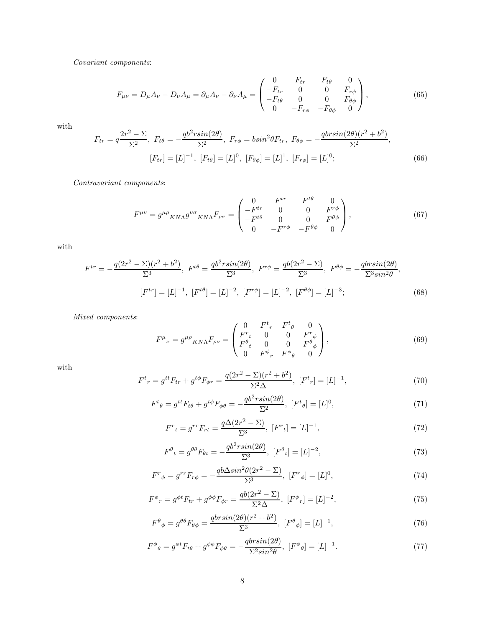Covariant components:

$$
F_{\mu\nu} = D_{\mu}A_{\nu} - D_{\nu}A_{\mu} = \partial_{\mu}A_{\nu} - \partial_{\nu}A_{\mu} = \begin{pmatrix} 0 & F_{tr} & F_{t\theta} & 0 \\ -F_{tr} & 0 & 0 & F_{r\phi} \\ -F_{t\theta} & 0 & 0 & F_{\theta\phi} \\ 0 & -F_{r\phi} & -F_{\theta\phi} & 0 \end{pmatrix},
$$
(65)

with

$$
F_{tr} = q \frac{2r^2 - \Sigma}{\Sigma^2}, \ F_{t\theta} = -\frac{qb^2 r \sin(2\theta)}{\Sigma^2}, \ F_{r\phi} = b \sin^2 \theta F_{tr}, \ F_{\theta\phi} = -\frac{qbr \sin(2\theta)(r^2 + b^2)}{\Sigma^2},
$$

$$
[F_{tr}] = [L]^{-1}, \ [F_{t\theta}] = [L]^0, \ [F_{\theta\phi}] = [L]^1, \ [F_{r\phi}] = [L]^0;
$$
(66)

Contravariant components:

$$
F^{\mu\nu} = g^{\mu\rho}{}_{KN\Lambda}g^{\nu\sigma}{}_{KN\Lambda}F_{\rho\sigma} = \begin{pmatrix} 0 & F^{tr} & F^{t\theta} & 0 \\ -F^{tr} & 0 & 0 & F^{r\phi} \\ -F^{t\theta} & 0 & 0 & F^{\theta\phi} \\ 0 & -F^{r\phi} & -F^{\theta\phi} & 0 \end{pmatrix},
$$
(67)

with

$$
F^{tr} = -\frac{q(2r^2 - \Sigma)(r^2 + b^2)}{\Sigma^3}, \ F^{t\theta} = \frac{qb^2 r \sin(2\theta)}{\Sigma^3}, \ F^{r\phi} = \frac{qb(2r^2 - \Sigma)}{\Sigma^3}, \ F^{\theta\phi} = -\frac{qbr \sin(2\theta)}{\Sigma^3 \sin^2\theta},
$$

$$
[F^{tr}] = [L]^{-1}, \ [F^{t\theta}] = [L]^{-2}, \ [F^{r\phi}] = [L]^{-2}, \ [F^{\theta\phi}] = [L]^{-3};
$$
(68)

Mixed components:

$$
F^{\mu}{}_{\nu} = g^{\mu\rho}{}_{KN\Lambda}F_{\rho\nu} = \begin{pmatrix} 0 & F^{t}{}_{r} & F^{t}{}_{\theta} & 0 \\ F^{r}{}_{t} & 0 & 0 & F^{r}{}_{\phi} \\ F^{{\theta}{}_{t} & 0 & 0 & F^{\theta}{}_{\phi} \\ 0 & F^{\phi}{}_{r} & F^{\phi}{}_{\theta} & 0 \end{pmatrix},
$$
(69)

with

$$
F^{t}{}_{r} = g^{tt}F_{tr} + g^{t\phi}F_{\phi r} = \frac{q(2r^{2} - \Sigma)(r^{2} + b^{2})}{\Sigma^{2}\Delta}, \ [F^{t}{}_{r}] = [L]^{-1}, \tag{70}
$$

$$
F^{t}{}_{\theta} = g^{tt}F_{t\theta} + g^{t\phi}F_{\phi\theta} = -\frac{q b^{2} r \sin(2\theta)}{\Sigma^{2}}, \ [F^{t}{}_{\theta}] = [L]^{0}, \tag{71}
$$

$$
F^{r}{}_{t} = g^{rr}F_{rt} = \frac{q\Delta(2r^{2} - \Sigma)}{\Sigma^{3}}, \ [F^{r}{}_{t}] = [L]^{-1}, \tag{72}
$$

$$
F^{\theta}{}_{t} = g^{\theta\theta}F_{\theta t} = -\frac{q b^{2} r \sin(2\theta)}{\Sigma^{3}}, \ [F^{\theta}{}_{t}] = [L]^{-2}, \tag{73}
$$

$$
F^{r}{}_{\phi} = g^{rr}F_{r\phi} = -\frac{qb\Delta sin^{2}\theta(2r^{2} - \Sigma)}{\Sigma^{3}}, \ [F^{r}{}_{\phi}] = [L]^{0}, \tag{74}
$$

$$
F^{\phi}{}_{r} = g^{\phi t} F_{tr} + g^{\phi \phi} F_{\phi r} = \frac{q b (2r^{2} - \Sigma)}{\Sigma^{2} \Delta}, \ [F^{\phi}{}_{r}] = [L]^{-2}, \tag{75}
$$

$$
F^{\theta}{}_{\phi} = g^{\theta\theta} F_{\theta\phi} = \frac{qbr\sin(2\theta)(r^2 + b^2)}{\Sigma^3}, \ [F^{\theta}{}_{\phi}] = [L]^{-1}, \tag{76}
$$

$$
F^{\phi}{}_{\theta} = g^{\phi t} F_{t\theta} + g^{\phi\phi} F_{\phi\theta} = -\frac{qbr\sin(2\theta)}{\Sigma^2 \sin^2 \theta}, \ [F^{\phi}{}_{\theta}] = [L]^{-1}.
$$
 (77)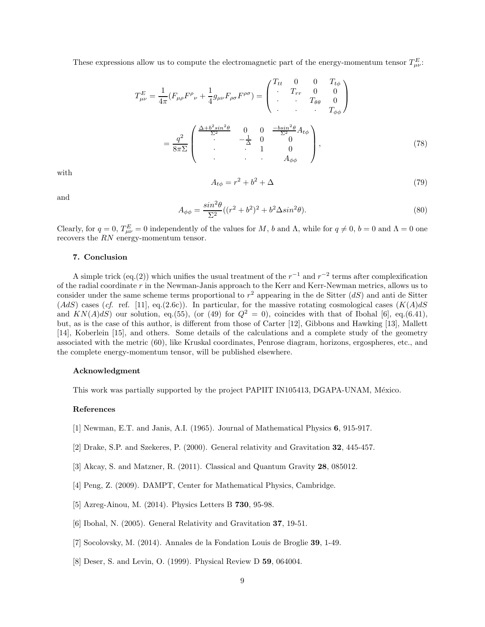These expressions allow us to compute the electromagnetic part of the energy-momentum tensor  $T_{\mu\nu}^E$ .

$$
T_{\mu\nu}^{E} = \frac{1}{4\pi} (F_{\mu\rho}F^{\rho}{}_{\nu} + \frac{1}{4}g_{\mu\nu}F_{\rho\sigma}F^{\rho\sigma}) = \begin{pmatrix} T_{tt} & 0 & 0 & T_{t\phi} \\ \cdot & T_{rr} & 0 & 0 \\ \cdot & \cdot & T_{\theta\theta} & 0 \\ \cdot & \cdot & \cdot & T_{\phi\phi} \end{pmatrix}
$$

$$
= \frac{q^{2}}{8\pi\Sigma} \begin{pmatrix} \frac{\Delta + b^{2}sin^{2}\theta}{\Sigma^{2}} & 0 & 0 & \frac{-bsin^{2}\theta}{\Sigma^{2}}A_{t\phi} \\ \cdot & \cdot & \cdot & 1 & 0 \\ \cdot & \cdot & \cdot & \cdot & A_{\phi\phi} \end{pmatrix}, \tag{78}
$$

with

$$
A_{t\phi} = r^2 + b^2 + \Delta \tag{79}
$$

and

$$
A_{\phi\phi} = \frac{\sin^2\theta}{\Sigma^2}((r^2 + b^2)^2 + b^2\Delta\sin^2\theta). \tag{80}
$$

Clearly, for  $q = 0$ ,  $T_{\mu\nu}^E = 0$  independently of the values for M, b and  $\Lambda$ , while for  $q \neq 0$ ,  $b = 0$  and  $\Lambda = 0$  one recovers the RN energy-momentum tensor.

# 7. Conclusion

A simple trick (eq.(2)) which unifies the usual treatment of the  $r^{-1}$  and  $r^{-2}$  terms after complexification of the radial coordinate  $r$  in the Newman-Janis approach to the Kerr and Kerr-Newman metrics, allows us to consider under the same scheme terms proportional to  $r^2$  appearing in the de Sitter  $(dS)$  and anti de Sitter  $(AdS)$  cases (cf. ref. [11], eq.(2.6c)). In particular, for the massive rotating cosmological cases  $(K(A)dS)$ and  $KN(A)dS$  our solution, eq.(55), (or (49) for  $Q^2 = 0$ ), coincides with that of Ibohal [6], eq.(6.41), but, as is the case of this author, is different from those of Carter [12], Gibbons and Hawking [13], Mallett [14], Koberlein [15], and others. Some details of the calculations and a complete study of the geometry associated with the metric (60), like Kruskal coordinates, Penrose diagram, horizons, ergospheres, etc., and the complete energy-momentum tensor, will be published elsewhere.

#### Acknowledgment

This work was partially supported by the project PAPIIT IN105413, DGAPA-UNAM, México.

# References

- [1] Newman, E.T. and Janis, A.I. (1965). Journal of Mathematical Physics 6, 915-917.
- [2] Drake, S.P. and Szekeres, P. (2000). General relativity and Gravitation 32, 445-457.
- [3] Akcay, S. and Matzner, R. (2011). Classical and Quantum Gravity 28, 085012.
- [4] Peng, Z. (2009). DAMPT, Center for Mathematical Physics, Cambridge.
- [5] Azreg-Ainou, M. (2014). Physics Letters B 730, 95-98.
- [6] Ibohal, N. (2005). General Relativity and Gravitation 37, 19-51.
- [7] Socolovsky, M. (2014). Annales de la Fondation Louis de Broglie 39, 1-49.
- [8] Deser, S. and Levin, O. (1999). Physical Review D 59, 064004.